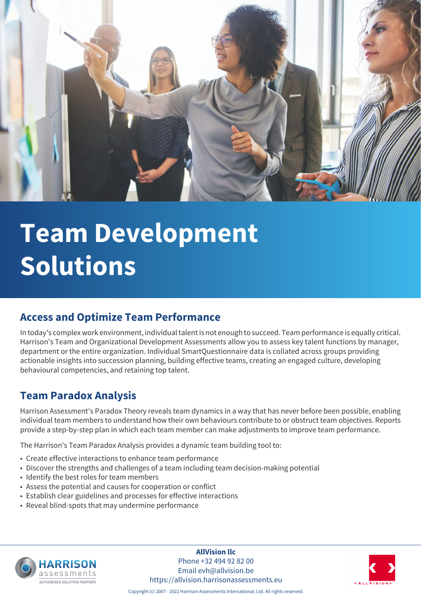

# **Team Development Solutions**

#### **Access and Optimize Team Performance**

In today's complex work environment, individual talent is not enough to succeed. Team performance is equally critical. Harrison's Team and Organizational Development Assessments allow you to assess key talent functions by manager, department or the entire organization. Individual SmartQuestionnaire data is collated across groups providing actionable insights into succession planning, building effective teams, creating an engaged culture, developing behavioural competencies, and retaining top talent.

#### **Team Paradox Analysis**

Harrison Assessment's Paradox Theory reveals team dynamics in a way that has never before been possible, enabling individual team members to understand how their own behaviours contribute to or obstruct team objectives. Reports provide a step-by-step plan in which each team member can make adjustments to improve team performance.

The Harrison's Team Paradox Analysis provides a dynamic team building tool to:

- Create effective interactions to enhance team performance
- Discover the strengths and challenges of a team including team decision-making potential
- Identify the best roles for team members
- Assess the potential and causes for cooperation or conflict
- Establish clear guidelines and processes for effective interactions
- Reveal blind-spots that may undermine performance



**AllVision llc** Phone +32 494 92 82 00 Email evh@allvision.be https://allvision.harrisonassessments.eu